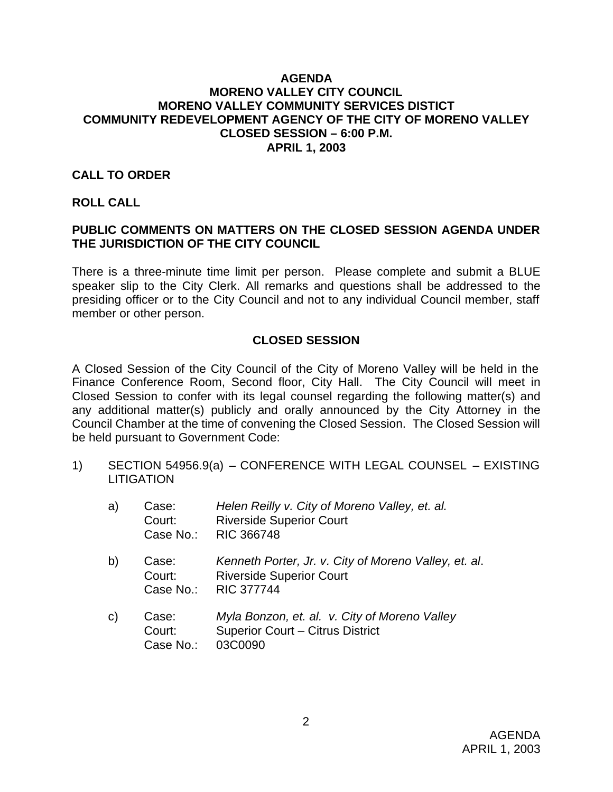#### **AGENDA MORENO VALLEY CITY COUNCIL MORENO VALLEY COMMUNITY SERVICES DISTICT COMMUNITY REDEVELOPMENT AGENCY OF THE CITY OF MORENO VALLEY CLOSED SESSION – 6:00 P.M. APRIL 1, 2003**

#### **CALL TO ORDER**

#### **ROLL CALL**

### **PUBLIC COMMENTS ON MATTERS ON THE CLOSED SESSION AGENDA UNDER THE JURISDICTION OF THE CITY COUNCIL**

There is a three-minute time limit per person. Please complete and submit a BLUE speaker slip to the City Clerk. All remarks and questions shall be addressed to the presiding officer or to the City Council and not to any individual Council member, staff member or other person.

### **CLOSED SESSION**

A Closed Session of the City Council of the City of Moreno Valley will be held in the Finance Conference Room, Second floor, City Hall. The City Council will meet in Closed Session to confer with its legal counsel regarding the following matter(s) and any additional matter(s) publicly and orally announced by the City Attorney in the Council Chamber at the time of convening the Closed Session. The Closed Session will be held pursuant to Government Code:

1) SECTION 54956.9(a) – CONFERENCE WITH LEGAL COUNSEL – EXISTING **LITIGATION** 

| a)           | Case:<br>Court:<br>Case No.: | Helen Reilly v. City of Moreno Valley, et. al.<br><b>Riverside Superior Court</b><br><b>RIC 366748</b>        |
|--------------|------------------------------|---------------------------------------------------------------------------------------------------------------|
| b)           | Case:<br>Court:<br>Case No.: | Kenneth Porter, Jr. v. City of Moreno Valley, et. al.<br><b>Riverside Superior Court</b><br><b>RIC 377744</b> |
| $\mathsf{C}$ | Case:<br>Court:<br>Case No.: | Myla Bonzon, et. al. v. City of Moreno Valley<br><b>Superior Court - Citrus District</b><br>03C0090           |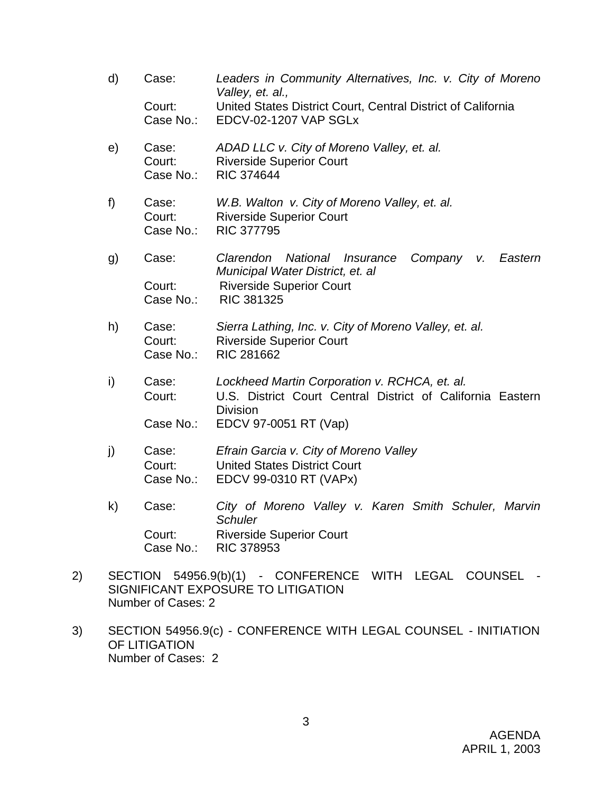- d) Case: *Leaders in Community Alternatives, Inc. v. City of Moreno Valley, et. al.,* Court: United States District Court, Central District of California Case No.: EDCV-02-1207 VAP SGLx e) Case: *ADAD LLC v. City of Moreno Valley, et. al.* Court: Riverside Superior Court Case No.: RIC 374644 f) Case: *W.B. Walton v. City of Moreno Valley, et. al.* Court: Riverside Superior Court Case No.: RIC 377795 g) Case: *Clarendon National Insurance Company v. Eastern Municipal Water District, et. al* Court: Riverside Superior Court Case No.: RIC 381325 h) Case: *Sierra Lathing, Inc. v. City of Moreno Valley, et. al.* Court: Riverside Superior Court Case No.: RIC 281662 i) Case: *Lockheed Martin Corporation v. RCHCA, et. al.* Court: U.S. District Court Central District of California Eastern **Division** Case No.: EDCV 97-0051 RT (Vap) j) Case: *Efrain Garcia v. City of Moreno Valley* Court: United States District Court Case No.: EDCV 99-0310 RT (VAPx) k) Case: *City of Moreno Valley v. Karen Smith Schuler, Marvin Schuler* Court: Riverside Superior Court
	- Case No.: RIC 378953
- 2) SECTION 54956.9(b)(1) CONFERENCE WITH LEGAL COUNSEL SIGNIFICANT EXPOSURE TO LITIGATION Number of Cases: 2
- 3) SECTION 54956.9(c) CONFERENCE WITH LEGAL COUNSEL INITIATION OF LITIGATION Number of Cases: 2